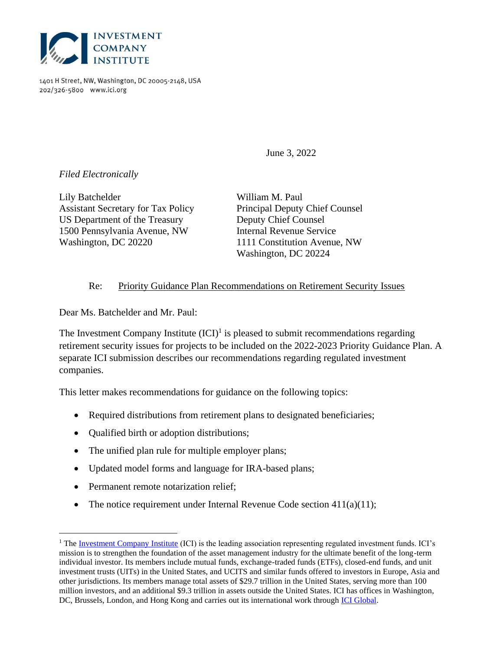

1401 H Street, NW, Washington, DC 20005-2148, USA 202/326-5800 www.ici.org

June 3, 2022

*Filed Electronically*

Lily Batchelder William M. Paul Assistant Secretary for Tax Policy Principal Deputy Chief Counsel US Department of the Treasury Deputy Chief Counsel 1500 Pennsylvania Avenue, NW Internal Revenue Service Washington, DC 20220 1111 Constitution Avenue, NW

Washington, DC 20224

#### Re: Priority Guidance Plan Recommendations on Retirement Security Issues

Dear Ms. Batchelder and Mr. Paul:

The Investment Company Institute  $(ICI)^1$  is pleased to submit recommendations regarding retirement security issues for projects to be included on the 2022-2023 Priority Guidance Plan. A separate ICI submission describes our recommendations regarding regulated investment companies.

This letter makes recommendations for guidance on the following topics:

- Required distributions from retirement plans to designated beneficiaries;
- Qualified birth or adoption distributions;
- The unified plan rule for multiple employer plans;
- Updated model forms and language for IRA-based plans;
- Permanent remote notarization relief;
- The notice requirement under Internal Revenue Code section  $411(a)(11)$ ;

 $1$  The [Investment Company Institute](https://www.ici.org/) (ICI) is the leading association representing regulated investment funds. ICI's mission is to strengthen the foundation of the asset management industry for the ultimate benefit of the long-term individual investor. Its members include mutual funds, exchange-traded funds (ETFs), closed-end funds, and unit investment trusts (UITs) in the United States, and UCITS and similar funds offered to investors in Europe, Asia and other jurisdictions. Its members manage total assets of \$29.7 trillion in the United States, serving more than 100 million investors, and an additional \$9.3 trillion in assets outside the United States. ICI has offices in Washington, DC, Brussels, London, and Hong Kong and carries out its international work through *ICI Global*.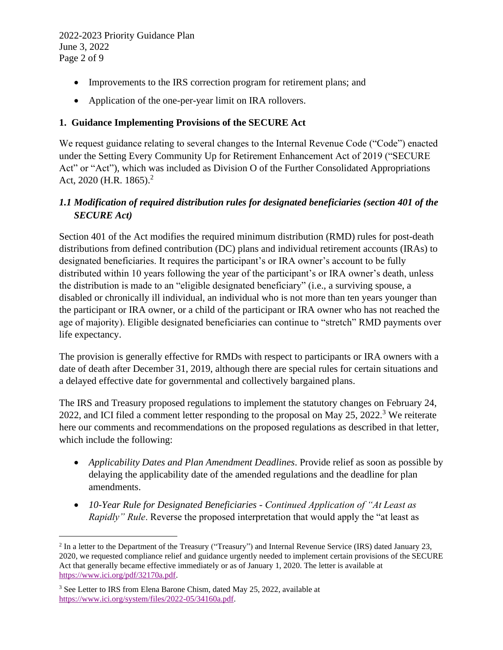- Improvements to the IRS correction program for retirement plans; and
- Application of the one-per-year limit on IRA rollovers.

### **1. Guidance Implementing Provisions of the SECURE Act**

We request guidance relating to several changes to the Internal Revenue Code ("Code") enacted under the Setting Every Community Up for Retirement Enhancement Act of 2019 ("SECURE Act" or "Act"), which was included as Division O of the Further Consolidated Appropriations Act, 2020 (H.R. 1865).<sup>2</sup>

### *1.1 Modification of required distribution rules for designated beneficiaries (section 401 of the SECURE Act)*

Section 401 of the Act modifies the required minimum distribution (RMD) rules for post-death distributions from defined contribution (DC) plans and individual retirement accounts (IRAs) to designated beneficiaries. It requires the participant's or IRA owner's account to be fully distributed within 10 years following the year of the participant's or IRA owner's death, unless the distribution is made to an "eligible designated beneficiary" (i.e., a surviving spouse, a disabled or chronically ill individual, an individual who is not more than ten years younger than the participant or IRA owner, or a child of the participant or IRA owner who has not reached the age of majority). Eligible designated beneficiaries can continue to "stretch" RMD payments over life expectancy.

The provision is generally effective for RMDs with respect to participants or IRA owners with a date of death after December 31, 2019, although there are special rules for certain situations and a delayed effective date for governmental and collectively bargained plans.

The IRS and Treasury proposed regulations to implement the statutory changes on February 24, 2022, and ICI filed a comment letter responding to the proposal on May 25, 2022.<sup>3</sup> We reiterate here our comments and recommendations on the proposed regulations as described in that letter, which include the following:

- *Applicability Dates and Plan Amendment Deadlines*. Provide relief as soon as possible by delaying the applicability date of the amended regulations and the deadline for plan amendments.
- *10-Year Rule for Designated Beneficiaries - Continued Application of "At Least as Rapidly" Rule.* Reverse the proposed interpretation that would apply the "at least as

 $2 \text{ In a letter to the Department of the Treasury ("Treasury") and Internal Revenue Service (IRS) dated January 23,$ 2020, we requested compliance relief and guidance urgently needed to implement certain provisions of the SECURE Act that generally became effective immediately or as of January 1, 2020. The letter is available at [https://www.ici.org/pdf/32170a.pdf.](https://www.ici.org/pdf/32170a.pdf)

<sup>&</sup>lt;sup>3</sup> See Letter to IRS from Elena Barone Chism, dated May 25, 2022, available at [https://www.ici.org/system/files/2022-05/34160a.pdf.](https://www.ici.org/system/files/2022-05/34160a.pdf)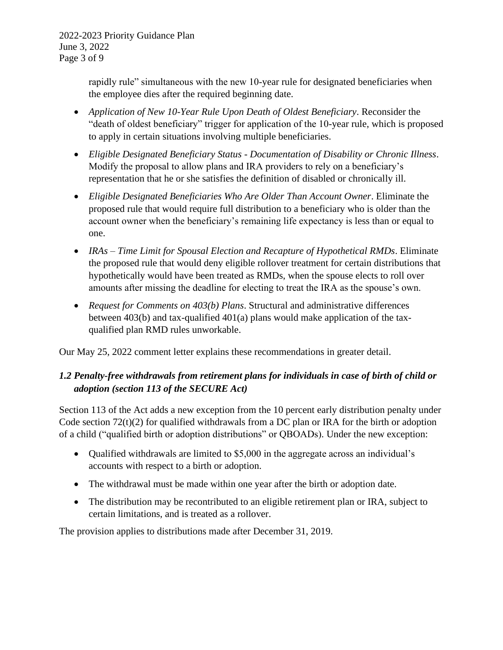2022-2023 Priority Guidance Plan June 3, 2022 Page 3 of 9

> rapidly rule" simultaneous with the new 10-year rule for designated beneficiaries when the employee dies after the required beginning date.

- *Application of New 10-Year Rule Upon Death of Oldest Beneficiary*. Reconsider the "death of oldest beneficiary" trigger for application of the 10-year rule, which is proposed to apply in certain situations involving multiple beneficiaries.
- *Eligible Designated Beneficiary Status - Documentation of Disability or Chronic Illness*. Modify the proposal to allow plans and IRA providers to rely on a beneficiary's representation that he or she satisfies the definition of disabled or chronically ill.
- *Eligible Designated Beneficiaries Who Are Older Than Account Owner*. Eliminate the proposed rule that would require full distribution to a beneficiary who is older than the account owner when the beneficiary's remaining life expectancy is less than or equal to one.
- *IRAs – Time Limit for Spousal Election and Recapture of Hypothetical RMDs*. Eliminate the proposed rule that would deny eligible rollover treatment for certain distributions that hypothetically would have been treated as RMDs, when the spouse elects to roll over amounts after missing the deadline for electing to treat the IRA as the spouse's own.
- *Request for Comments on 403(b) Plans*. Structural and administrative differences between 403(b) and tax-qualified 401(a) plans would make application of the taxqualified plan RMD rules unworkable.

Our May 25, 2022 comment letter explains these recommendations in greater detail.

# *1.2 Penalty-free withdrawals from retirement plans for individuals in case of birth of child or adoption (section 113 of the SECURE Act)*

Section 113 of the Act adds a new exception from the 10 percent early distribution penalty under Code section  $72(t)(2)$  for qualified withdrawals from a DC plan or IRA for the birth or adoption of a child ("qualified birth or adoption distributions" or QBOADs). Under the new exception:

- Qualified withdrawals are limited to \$5,000 in the aggregate across an individual's accounts with respect to a birth or adoption.
- The withdrawal must be made within one year after the birth or adoption date.
- The distribution may be recontributed to an eligible retirement plan or IRA, subject to certain limitations, and is treated as a rollover.

The provision applies to distributions made after December 31, 2019.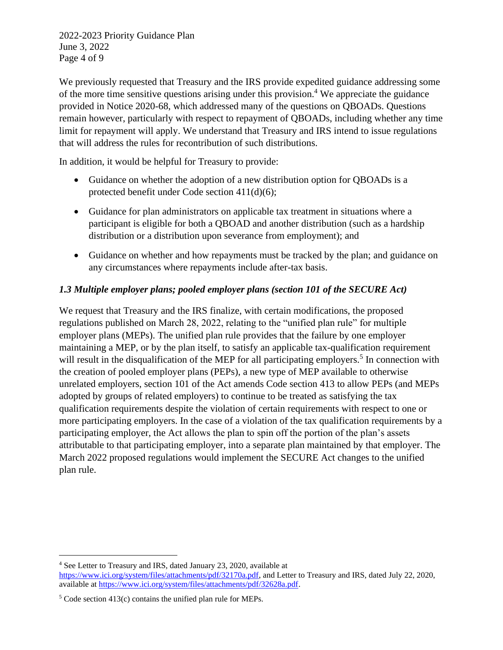2022-2023 Priority Guidance Plan June 3, 2022 Page 4 of 9

We previously requested that Treasury and the IRS provide expedited guidance addressing some of the more time sensitive questions arising under this provision.<sup>4</sup> We appreciate the guidance provided in Notice 2020-68, which addressed many of the questions on QBOADs. Questions remain however, particularly with respect to repayment of QBOADs, including whether any time limit for repayment will apply. We understand that Treasury and IRS intend to issue regulations that will address the rules for recontribution of such distributions.

In addition, it would be helpful for Treasury to provide:

- Guidance on whether the adoption of a new distribution option for QBOADs is a protected benefit under Code section 411(d)(6);
- Guidance for plan administrators on applicable tax treatment in situations where a participant is eligible for both a QBOAD and another distribution (such as a hardship distribution or a distribution upon severance from employment); and
- Guidance on whether and how repayments must be tracked by the plan; and guidance on any circumstances where repayments include after-tax basis.

## *1.3 Multiple employer plans; pooled employer plans (section 101 of the SECURE Act)*

We request that Treasury and the IRS finalize, with certain modifications, the proposed regulations published on March 28, 2022, relating to the "unified plan rule" for multiple employer plans (MEPs). The unified plan rule provides that the failure by one employer maintaining a MEP, or by the plan itself, to satisfy an applicable tax-qualification requirement will result in the disqualification of the MEP for all participating employers.<sup>5</sup> In connection with the creation of pooled employer plans (PEPs), a new type of MEP available to otherwise unrelated employers, section 101 of the Act amends Code section 413 to allow PEPs (and MEPs adopted by groups of related employers) to continue to be treated as satisfying the tax qualification requirements despite the violation of certain requirements with respect to one or more participating employers. In the case of a violation of the tax qualification requirements by a participating employer, the Act allows the plan to spin off the portion of the plan's assets attributable to that participating employer, into a separate plan maintained by that employer. The March 2022 proposed regulations would implement the SECURE Act changes to the unified plan rule.

<sup>4</sup> See Letter to Treasury and IRS, dated January 23, 2020, available at [https://www.ici.org/system/files/attachments/pdf/32170a.pdf,](https://www.ici.org/system/files/attachments/pdf/32170a.pdf) and Letter to Treasury and IRS, dated July 22, 2020, available at [https://www.ici.org/system/files/attachments/pdf/32628a.pdf.](https://www.ici.org/system/files/attachments/pdf/32628a.pdf)

<sup>5</sup> Code section 413(c) contains the unified plan rule for MEPs.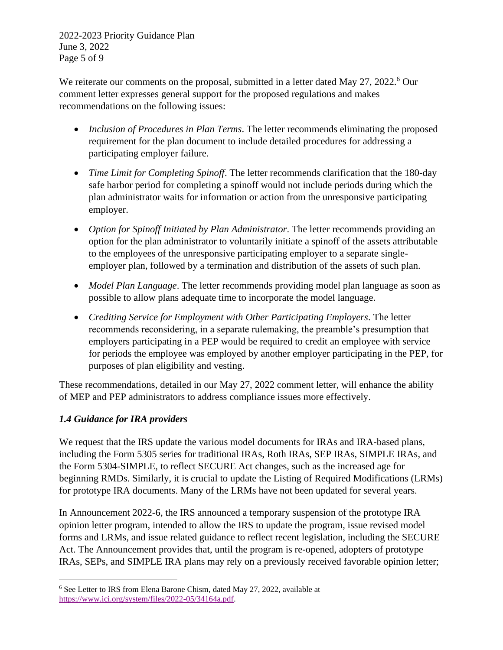2022-2023 Priority Guidance Plan June 3, 2022 Page 5 of 9

We reiterate our comments on the proposal, submitted in a letter dated May 27, 2022.<sup>6</sup> Our comment letter expresses general support for the proposed regulations and makes recommendations on the following issues:

- *Inclusion of Procedures in Plan Terms*. The letter recommends eliminating the proposed requirement for the plan document to include detailed procedures for addressing a participating employer failure.
- *Time Limit for Completing Spinoff*. The letter recommends clarification that the 180-day safe harbor period for completing a spinoff would not include periods during which the plan administrator waits for information or action from the unresponsive participating employer.
- *Option for Spinoff Initiated by Plan Administrator*. The letter recommends providing an option for the plan administrator to voluntarily initiate a spinoff of the assets attributable to the employees of the unresponsive participating employer to a separate singleemployer plan, followed by a termination and distribution of the assets of such plan.
- *Model Plan Language*. The letter recommends providing model plan language as soon as possible to allow plans adequate time to incorporate the model language.
- *Crediting Service for Employment with Other Participating Employers*. The letter recommends reconsidering, in a separate rulemaking, the preamble's presumption that employers participating in a PEP would be required to credit an employee with service for periods the employee was employed by another employer participating in the PEP, for purposes of plan eligibility and vesting.

These recommendations, detailed in our May 27, 2022 comment letter, will enhance the ability of MEP and PEP administrators to address compliance issues more effectively.

### *1.4 Guidance for IRA providers*

We request that the IRS update the various model documents for IRAs and IRA-based plans, including the Form 5305 series for traditional IRAs, Roth IRAs, SEP IRAs, SIMPLE IRAs, and the Form 5304-SIMPLE, to reflect SECURE Act changes, such as the increased age for beginning RMDs. Similarly, it is crucial to update the Listing of Required Modifications (LRMs) for prototype IRA documents. Many of the LRMs have not been updated for several years.

In Announcement 2022-6, the IRS announced a temporary suspension of the prototype IRA opinion letter program, intended to allow the IRS to update the program, issue revised model forms and LRMs, and issue related guidance to reflect recent legislation, including the SECURE Act. The Announcement provides that, until the program is re-opened, adopters of prototype IRAs, SEPs, and SIMPLE IRA plans may rely on a previously received favorable opinion letter;

<sup>6</sup> See Letter to IRS from Elena Barone Chism, dated May 27, 2022, available at [https://www.ici.org/system/files/2022-05/34164a.pdf.](https://www.ici.org/system/files/2022-05/34164a.pdf)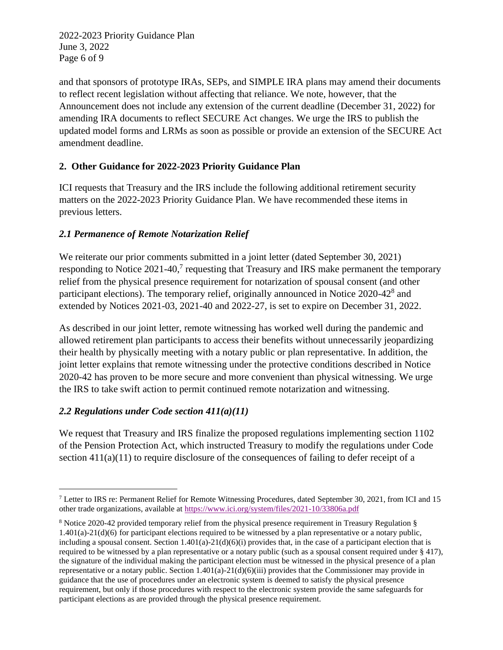2022-2023 Priority Guidance Plan June 3, 2022 Page 6 of 9

and that sponsors of prototype IRAs, SEPs, and SIMPLE IRA plans may amend their documents to reflect recent legislation without affecting that reliance. We note, however, that the Announcement does not include any extension of the current deadline (December 31, 2022) for amending IRA documents to reflect SECURE Act changes. We urge the IRS to publish the updated model forms and LRMs as soon as possible or provide an extension of the SECURE Act amendment deadline.

## **2. Other Guidance for 2022-2023 Priority Guidance Plan**

ICI requests that Treasury and the IRS include the following additional retirement security matters on the 2022-2023 Priority Guidance Plan. We have recommended these items in previous letters.

## *2.1 Permanence of Remote Notarization Relief*

We reiterate our prior comments submitted in a joint letter (dated September 30, 2021) responding to Notice 2021-40,<sup>7</sup> requesting that Treasury and IRS make permanent the temporary relief from the physical presence requirement for notarization of spousal consent (and other participant elections). The temporary relief, originally announced in Notice 2020-42<sup>8</sup> and extended by Notices 2021-03, 2021-40 and 2022-27, is set to expire on December 31, 2022.

As described in our joint letter, remote witnessing has worked well during the pandemic and allowed retirement plan participants to access their benefits without unnecessarily jeopardizing their health by physically meeting with a notary public or plan representative. In addition, the joint letter explains that remote witnessing under the protective conditions described in Notice 2020-42 has proven to be more secure and more convenient than physical witnessing. We urge the IRS to take swift action to permit continued remote notarization and witnessing.

### *2.2 Regulations under Code section 411(a)(11)*

We request that Treasury and IRS finalize the proposed regulations implementing section 1102 of the Pension Protection Act, which instructed Treasury to modify the regulations under Code section  $411(a)(11)$  to require disclosure of the consequences of failing to defer receipt of a

<sup>7</sup> Letter to IRS re: Permanent Relief for Remote Witnessing Procedures, dated September 30, 2021, from ICI and 15 other trade organizations, available a[t https://www.ici.org/system/files/2021-10/33806a.pdf](https://www.ici.org/system/files/2021-10/33806a.pdf)

<sup>8</sup> Notice 2020-42 provided temporary relief from the physical presence requirement in Treasury Regulation §  $1.401(a) - 21(d)(6)$  for participant elections required to be witnessed by a plan representative or a notary public, including a spousal consent. Section 1.401(a)-21(d)(6)(i) provides that, in the case of a participant election that is required to be witnessed by a plan representative or a notary public (such as a spousal consent required under § 417), the signature of the individual making the participant election must be witnessed in the physical presence of a plan representative or a notary public. Section 1.401(a)-21(d)(6)(iii) provides that the Commissioner may provide in guidance that the use of procedures under an electronic system is deemed to satisfy the physical presence requirement, but only if those procedures with respect to the electronic system provide the same safeguards for participant elections as are provided through the physical presence requirement.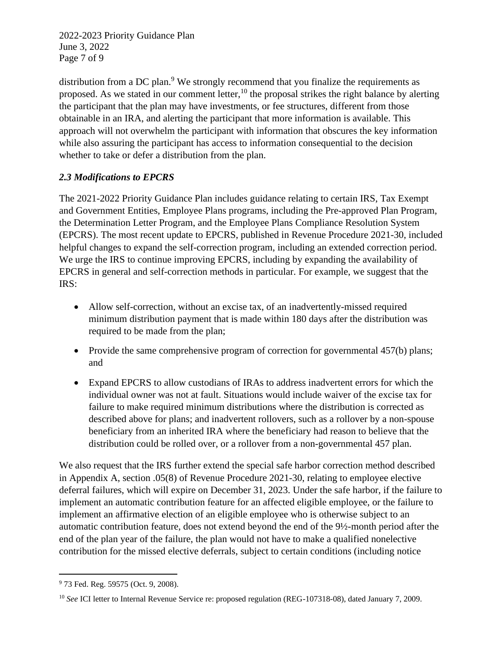2022-2023 Priority Guidance Plan June 3, 2022 Page 7 of 9

distribution from a DC plan. $9$  We strongly recommend that you finalize the requirements as proposed. As we stated in our comment letter,  $10$  the proposal strikes the right balance by alerting the participant that the plan may have investments, or fee structures, different from those obtainable in an IRA, and alerting the participant that more information is available. This approach will not overwhelm the participant with information that obscures the key information while also assuring the participant has access to information consequential to the decision whether to take or defer a distribution from the plan.

### *2.3 Modifications to EPCRS*

The 2021-2022 Priority Guidance Plan includes guidance relating to certain IRS, Tax Exempt and Government Entities, Employee Plans programs, including the Pre-approved Plan Program, the Determination Letter Program, and the Employee Plans Compliance Resolution System (EPCRS). The most recent update to EPCRS, published in Revenue Procedure 2021-30, included helpful changes to expand the self-correction program, including an extended correction period. We urge the IRS to continue improving EPCRS, including by expanding the availability of EPCRS in general and self-correction methods in particular. For example, we suggest that the IRS:

- Allow self-correction, without an excise tax, of an inadvertently-missed required minimum distribution payment that is made within 180 days after the distribution was required to be made from the plan;
- Provide the same comprehensive program of correction for governmental 457(b) plans; and
- Expand EPCRS to allow custodians of IRAs to address inadvertent errors for which the individual owner was not at fault. Situations would include waiver of the excise tax for failure to make required minimum distributions where the distribution is corrected as described above for plans; and inadvertent rollovers, such as a rollover by a non-spouse beneficiary from an inherited IRA where the beneficiary had reason to believe that the distribution could be rolled over, or a rollover from a non-governmental 457 plan.

We also request that the IRS further extend the special safe harbor correction method described in Appendix A, section .05(8) of Revenue Procedure 2021-30, relating to employee elective deferral failures, which will expire on December 31, 2023. Under the safe harbor, if the failure to implement an automatic contribution feature for an affected eligible employee, or the failure to implement an affirmative election of an eligible employee who is otherwise subject to an automatic contribution feature, does not extend beyond the end of the 9½-month period after the end of the plan year of the failure, the plan would not have to make a qualified nonelective contribution for the missed elective deferrals, subject to certain conditions (including notice

<sup>&</sup>lt;sup>9</sup> 73 Fed. Reg. 59575 (Oct. 9, 2008).

<sup>&</sup>lt;sup>10</sup> *See* ICI letter to Internal Revenue Service re: proposed regulation (REG-107318-08), dated January 7, 2009.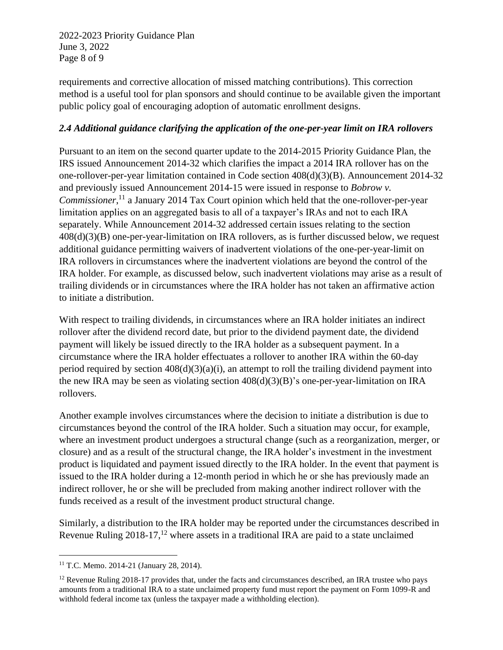2022-2023 Priority Guidance Plan June 3, 2022 Page 8 of 9

requirements and corrective allocation of missed matching contributions). This correction method is a useful tool for plan sponsors and should continue to be available given the important public policy goal of encouraging adoption of automatic enrollment designs.

#### *2.4 Additional guidance clarifying the application of the one-per-year limit on IRA rollovers*

Pursuant to an item on the second quarter update to the 2014-2015 Priority Guidance Plan, the IRS issued Announcement 2014-32 which clarifies the impact a 2014 IRA rollover has on the one-rollover-per-year limitation contained in Code section 408(d)(3)(B). Announcement 2014-32 and previously issued Announcement 2014-15 were issued in response to *Bobrow v.*  Commissioner,<sup>11</sup> a January 2014 Tax Court opinion which held that the one-rollover-per-year limitation applies on an aggregated basis to all of a taxpayer's IRAs and not to each IRA separately. While Announcement 2014-32 addressed certain issues relating to the section 408(d)(3)(B) one-per-year-limitation on IRA rollovers, as is further discussed below, we request additional guidance permitting waivers of inadvertent violations of the one-per-year-limit on IRA rollovers in circumstances where the inadvertent violations are beyond the control of the IRA holder. For example, as discussed below, such inadvertent violations may arise as a result of trailing dividends or in circumstances where the IRA holder has not taken an affirmative action to initiate a distribution.

With respect to trailing dividends, in circumstances where an IRA holder initiates an indirect rollover after the dividend record date, but prior to the dividend payment date, the dividend payment will likely be issued directly to the IRA holder as a subsequent payment. In a circumstance where the IRA holder effectuates a rollover to another IRA within the 60-day period required by section  $408(d)(3)(a)(i)$ , an attempt to roll the trailing dividend payment into the new IRA may be seen as violating section 408(d)(3)(B)'s one-per-year-limitation on IRA rollovers.

Another example involves circumstances where the decision to initiate a distribution is due to circumstances beyond the control of the IRA holder. Such a situation may occur, for example, where an investment product undergoes a structural change (such as a reorganization, merger, or closure) and as a result of the structural change, the IRA holder's investment in the investment product is liquidated and payment issued directly to the IRA holder. In the event that payment is issued to the IRA holder during a 12-month period in which he or she has previously made an indirect rollover, he or she will be precluded from making another indirect rollover with the funds received as a result of the investment product structural change.

Similarly, a distribution to the IRA holder may be reported under the circumstances described in Revenue Ruling  $2018-17$ ,<sup>12</sup> where assets in a traditional IRA are paid to a state unclaimed

<sup>11</sup> T.C. Memo. 2014-21 (January 28, 2014).

<sup>&</sup>lt;sup>12</sup> Revenue Ruling 2018-17 provides that, under the facts and circumstances described, an IRA trustee who pays amounts from a traditional IRA to a state unclaimed property fund must report the payment on Form 1099-R and withhold federal income tax (unless the taxpayer made a withholding election).